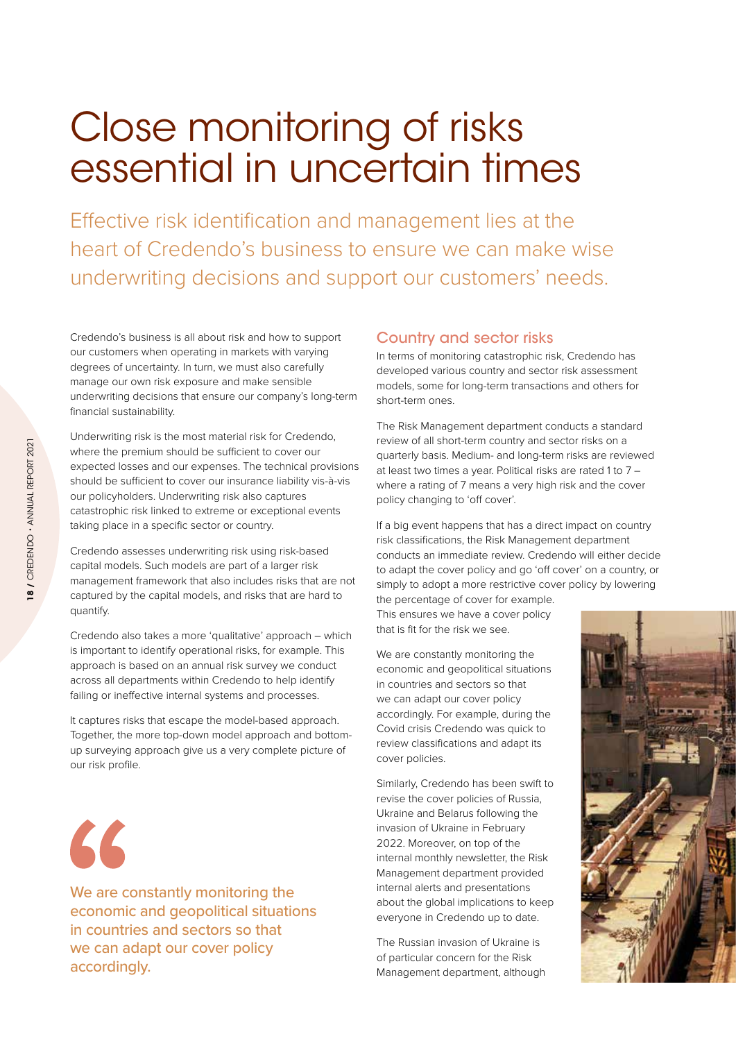# Close monitoring of risks essential in uncertain times

Effective risk identification and management lies at the heart of Credendo's business to ensure we can make wise underwriting decisions and support our customers' needs.

Credendo's business is all about risk and how to support our customers when operating in markets with varying degrees of uncertainty. In turn, we must also carefully manage our own risk exposure and make sensible underwriting decisions that ensure our company's long-term financial sustainability.

Underwriting risk is the most material risk for Credendo, where the premium should be sufficient to cover our expected losses and our expenses. The technical provisions should be sufficient to cover our insurance liability vis-à-vis our policyholders. Underwriting risk also captures catastrophic risk linked to extreme or exceptional events taking place in a specific sector or country.

Credendo assesses underwriting risk using risk-based capital models. Such models are part of a larger risk management framework that also includes risks that are not captured by the capital models, and risks that are hard to quantify.

Credendo also takes a more 'qualitative' approach – which is important to identify operational risks, for example. This approach is based on an annual risk survey we conduct across all departments within Credendo to help identify failing or ineffective internal systems and processes.

It captures risks that escape the model-based approach. Together, the more top-down model approach and bottomup surveying approach give us a very complete picture of our risk profile.

 $\epsilon$ 

We are constantly monitoring the economic and geopolitical situations in countries and sectors so that we can adapt our cover policy accordingly.

## Country and sector risks

In terms of monitoring catastrophic risk, Credendo has developed various country and sector risk assessment models, some for long-term transactions and others for short-term ones.

The Risk Management department conducts a standard review of all short-term country and sector risks on a quarterly basis. Medium- and long-term risks are reviewed at least two times a year. Political risks are rated 1 to 7 – where a rating of 7 means a very high risk and the cover policy changing to 'off cover'.

If a big event happens that has a direct impact on country risk classifications, the Risk Management department conducts an immediate review. Credendo will either decide to adapt the cover policy and go 'off cover' on a country, or simply to adopt a more restrictive cover policy by lowering the percentage of cover for example.

This ensures we have a cover policy that is fit for the risk we see.

We are constantly monitoring the economic and geopolitical situations in countries and sectors so that we can adapt our cover policy accordingly. For example, during the Covid crisis Credendo was quick to review classifications and adapt its cover policies.

Similarly, Credendo has been swift to revise the cover policies of Russia, Ukraine and Belarus following the invasion of Ukraine in February 2022. Moreover, on top of the internal monthly newsletter, the Risk Management department provided internal alerts and presentations about the global implications to keep everyone in Credendo up to date.

The Russian invasion of Ukraine is of particular concern for the Risk Management department, although

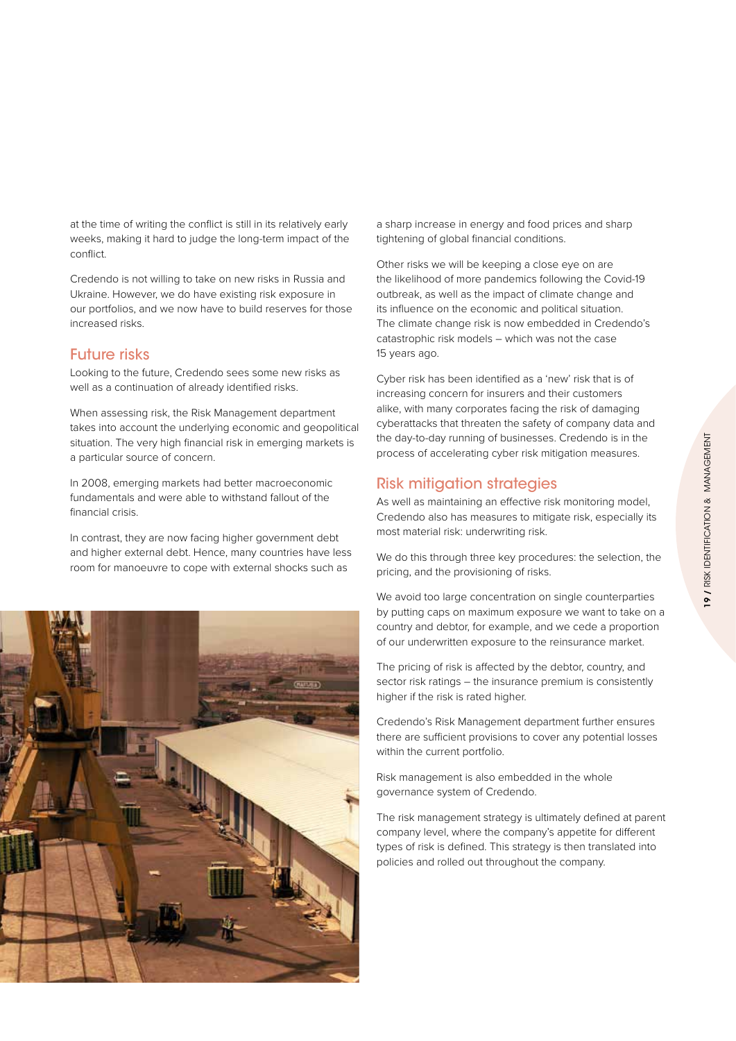at the time of writing the conflict is still in its relatively early weeks, making it hard to judge the long-term impact of the conflict.

Credendo is not willing to take on new risks in Russia and Ukraine. However, we do have existing risk exposure in our portfolios, and we now have to build reserves for those increased risks.

## Future risks

Looking to the future, Credendo sees some new risks as well as a continuation of already identified risks.

When assessing risk, the Risk Management department takes into account the underlying economic and geopolitical situation. The very high financial risk in emerging markets is a particular source of concern.

In 2008, emerging markets had better macroeconomic fundamentals and were able to withstand fallout of the financial crisis.

In contrast, they are now facing higher government debt and higher external debt. Hence, many countries have less room for manoeuvre to cope with external shocks such as



a sharp increase in energy and food prices and sharp tightening of global financial conditions.

Other risks we will be keeping a close eye on are the likelihood of more pandemics following the Covid-19 outbreak, as well as the impact of climate change and its influence on the economic and political situation. The climate change risk is now embedded in Credendo's catastrophic risk models – which was not the case 15 years ago.

Cyber risk has been identified as a 'new' risk that is of increasing concern for insurers and their customers alike, with many corporates facing the risk of damaging cyberattacks that threaten the safety of company data and the day-to-day running of businesses. Credendo is in the process of accelerating cyber risk mitigation measures.

## Risk mitigation strategies

As well as maintaining an effective risk monitoring model, Credendo also has measures to mitigate risk, especially its most material risk: underwriting risk.

We do this through three key procedures: the selection, the pricing, and the provisioning of risks.

We avoid too large concentration on single counterparties by putting caps on maximum exposure we want to take on a country and debtor, for example, and we cede a proportion of our underwritten exposure to the reinsurance market.

The pricing of risk is affected by the debtor, country, and sector risk ratings – the insurance premium is consistently higher if the risk is rated higher.

Credendo's Risk Management department further ensures there are sufficient provisions to cover any potential losses within the current portfolio.

Risk management is also embedded in the whole governance system of Credendo.

The risk management strategy is ultimately defined at parent company level, where the company's appetite for different types of risk is defined. This strategy is then translated into policies and rolled out throughout the company.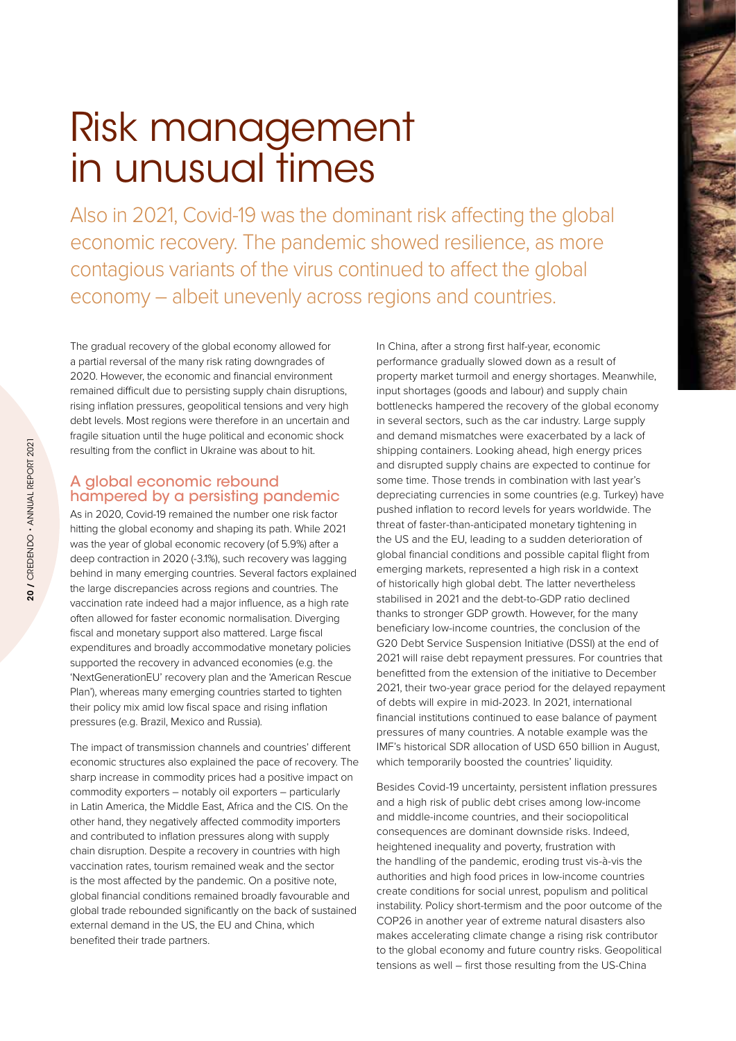## Risk management in unusual times

Also in 2021, Covid-19 was the dominant risk affecting the global economic recovery. The pandemic showed resilience, as more contagious variants of the virus continued to affect the global economy – albeit unevenly across regions and countries.

The gradual recovery of the global economy allowed for a partial reversal of the many risk rating downgrades of 2020. However, the economic and financial environment remained difficult due to persisting supply chain disruptions, rising inflation pressures, geopolitical tensions and very high debt levels. Most regions were therefore in an uncertain and fragile situation until the huge political and economic shock resulting from the conflict in Ukraine was about to hit.

## A global economic rebound hampered by a persisting pandemic

As in 2020, Covid-19 remained the number one risk factor hitting the global economy and shaping its path. While 2021 was the year of global economic recovery (of 5.9%) after a deep contraction in 2020 (-3.1%), such recovery was lagging behind in many emerging countries. Several factors explained the large discrepancies across regions and countries. The vaccination rate indeed had a major influence, as a high rate often allowed for faster economic normalisation. Diverging fiscal and monetary support also mattered. Large fiscal expenditures and broadly accommodative monetary policies supported the recovery in advanced economies (e.g. the 'NextGenerationEU' recovery plan and the 'American Rescue Plan'), whereas many emerging countries started to tighten their policy mix amid low fiscal space and rising inflation pressures (e.g. Brazil, Mexico and Russia).

The impact of transmission channels and countries' different economic structures also explained the pace of recovery. The sharp increase in commodity prices had a positive impact on commodity exporters – notably oil exporters – particularly in Latin America, the Middle East, Africa and the CIS. On the other hand, they negatively affected commodity importers and contributed to inflation pressures along with supply chain disruption. Despite a recovery in countries with high vaccination rates, tourism remained weak and the sector is the most affected by the pandemic. On a positive note, global financial conditions remained broadly favourable and global trade rebounded significantly on the back of sustained external demand in the US, the EU and China, which benefited their trade partners.

In China, after a strong first half-year, economic performance gradually slowed down as a result of property market turmoil and energy shortages. Meanwhile, input shortages (goods and labour) and supply chain bottlenecks hampered the recovery of the global economy in several sectors, such as the car industry. Large supply and demand mismatches were exacerbated by a lack of shipping containers. Looking ahead, high energy prices and disrupted supply chains are expected to continue for some time. Those trends in combination with last year's depreciating currencies in some countries (e.g. Turkey) have pushed inflation to record levels for years worldwide. The threat of faster-than-anticipated monetary tightening in the US and the EU, leading to a sudden deterioration of global financial conditions and possible capital flight from emerging markets, represented a high risk in a context of historically high global debt. The latter nevertheless stabilised in 2021 and the debt-to-GDP ratio declined thanks to stronger GDP growth. However, for the many beneficiary low-income countries, the conclusion of the G20 Debt Service Suspension Initiative (DSSI) at the end of 2021 will raise debt repayment pressures. For countries that benefitted from the extension of the initiative to December 2021, their two-year grace period for the delayed repayment of debts will expire in mid-2023. In 2021, international financial institutions continued to ease balance of payment pressures of many countries. A notable example was the IMF's historical SDR allocation of USD 650 billion in August, which temporarily boosted the countries' liquidity.

Besides Covid-19 uncertainty, persistent inflation pressures and a high risk of public debt crises among low-income and middle-income countries, and their sociopolitical consequences are dominant downside risks. Indeed, heightened inequality and poverty, frustration with the handling of the pandemic, eroding trust vis-à-vis the authorities and high food prices in low-income countries create conditions for social unrest, populism and political instability. Policy short-termism and the poor outcome of the COP26 in another year of extreme natural disasters also makes accelerating climate change a rising risk contributor to the global economy and future country risks. Geopolitical tensions as well – first those resulting from the US-China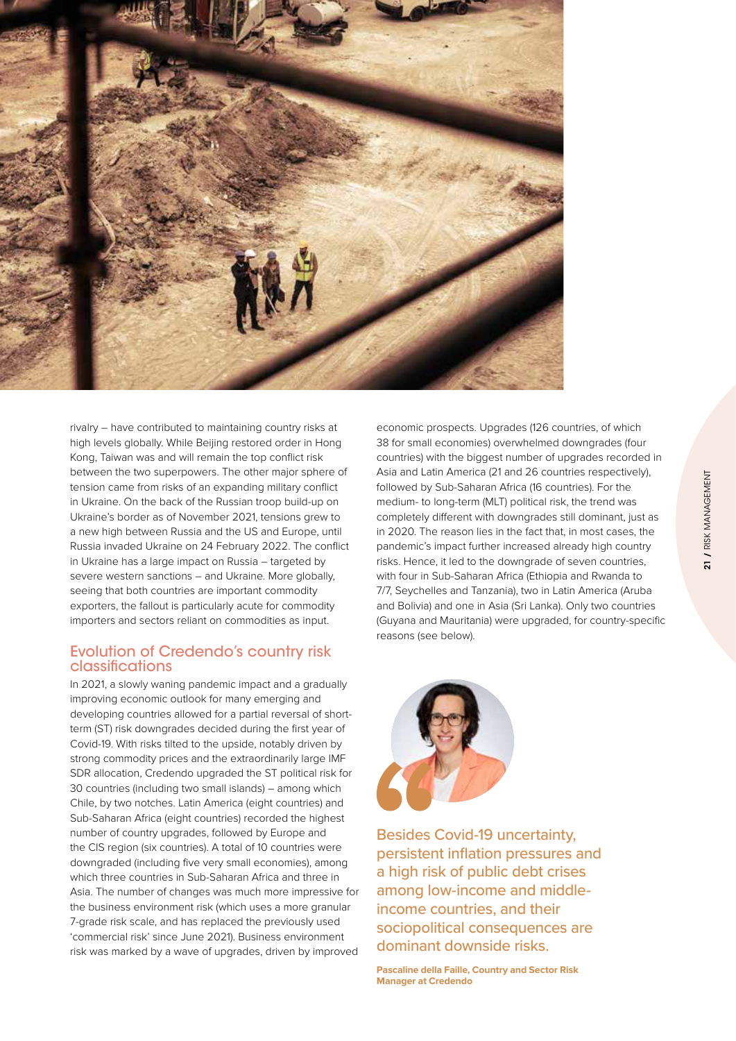

rivalry – have contributed to maintaining country risks at high levels globally. While Beijing restored order in Hong Kong, Taiwan was and will remain the top conflict risk between the two superpowers. The other major sphere of tension came from risks of an expanding military conflict in Ukraine. On the back of the Russian troop build-up on Ukraine's border as of November 2021, tensions grew to a new high between Russia and the US and Europe, until Russia invaded Ukraine on 24 February 2022. The conflict in Ukraine has a large impact on Russia – targeted by severe western sanctions – and Ukraine. More globally, seeing that both countries are important commodity exporters, the fallout is particularly acute for commodity importers and sectors reliant on commodities as input.

## Evolution of Credendo's country risk classifications

In 2021, a slowly waning pandemic impact and a gradually improving economic outlook for many emerging and developing countries allowed for a partial reversal of shortterm (ST) risk downgrades decided during the first year of Covid-19. With risks tilted to the upside, notably driven by strong commodity prices and the extraordinarily large IMF SDR allocation, Credendo upgraded the ST political risk for 30 countries (including two small islands) – among which Chile, by two notches. Latin America (eight countries) and Sub-Saharan Africa (eight countries) recorded the highest number of country upgrades, followed by Europe and the CIS region (six countries). A total of 10 countries were downgraded (including five very small economies), among which three countries in Sub-Saharan Africa and three in Asia. The number of changes was much more impressive for the business environment risk (which uses a more granular 7-grade risk scale, and has replaced the previously used 'commercial risk' since June 2021). Business environment risk was marked by a wave of upgrades, driven by improved

economic prospects. Upgrades (126 countries, of which 38 for small economies) overwhelmed downgrades (four countries) with the biggest number of upgrades recorded in Asia and Latin America (21 and 26 countries respectively), followed by Sub-Saharan Africa (16 countries). For the medium- to long-term (MLT) political risk, the trend was completely different with downgrades still dominant, just as in 2020. The reason lies in the fact that, in most cases, the pandemic's impact further increased already high country risks. Hence, it led to the downgrade of seven countries, with four in Sub-Saharan Africa (Ethiopia and Rwanda to 7/7, Seychelles and Tanzania), two in Latin America (Aruba and Bolivia) and one in Asia (Sri Lanka). Only two countries (Guyana and Mauritania) were upgraded, for country-specific reasons (see below).



Besides Covid-19 uncertainty, persistent inflation pressures and a high risk of public debt crises among low-income and middleincome countries, and their sociopolitical consequences are dominant downside risks.

**Pascaline della Faille, Country and Sector Risk Manager at Credendo**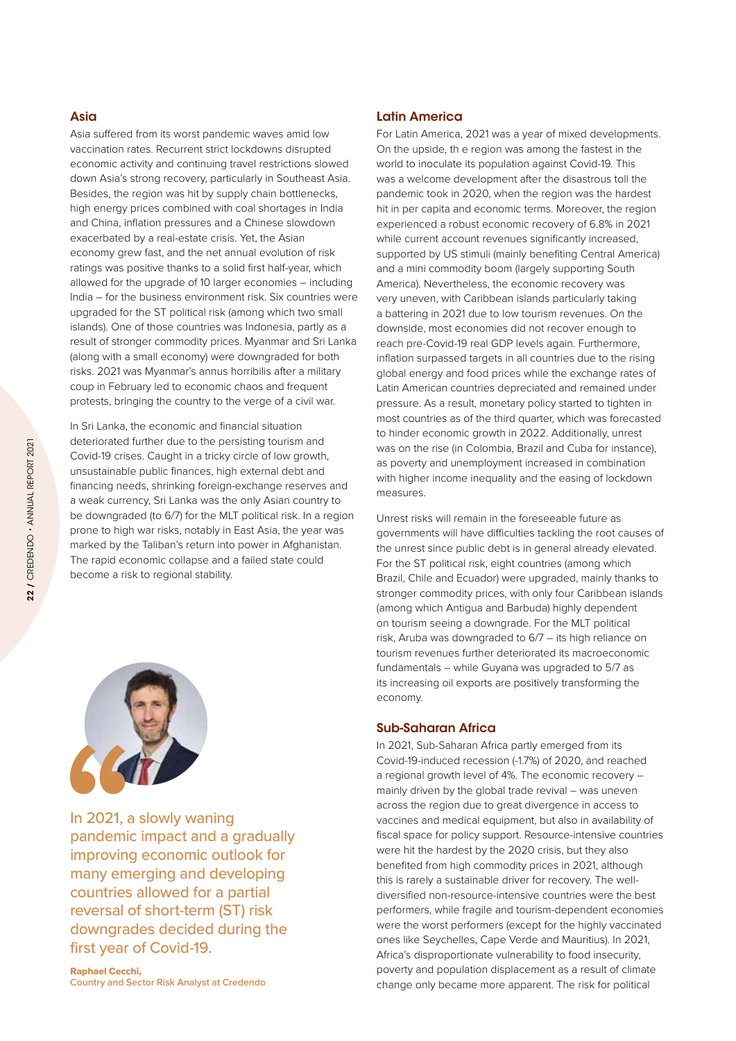#### Asia

Asia suffered from its worst pandemic waves amid low vaccination rates. Recurrent strict lockdowns disrupted economic activity and continuing travel restrictions slowed down Asia's strong recovery, particularly in Southeast Asia. Besides, the region was hit by supply chain bottlenecks, high energy prices combined with coal shortages in India and China, inflation pressures and a Chinese slowdown exacerbated by a real-estate crisis. Yet, the Asian economy grew fast, and the net annual evolution of risk ratings was positive thanks to a solid first half-year, which allowed for the upgrade of 10 larger economies – including India – for the business environment risk. Six countries were upgraded for the ST political risk (among which two small islands). One of those countries was Indonesia, partly as a result of stronger commodity prices. Myanmar and Sri Lanka (along with a small economy) were downgraded for both risks. 2021 was Myanmar's annus horribilis after a military coup in February led to economic chaos and frequent protests, bringing the country to the verge of a civil war.

In Sri Lanka, the economic and financial situation deteriorated further due to the persisting tourism and Covid-19 crises. Caught in a tricky circle of low growth, unsustainable public finances, high external debt and financing needs, shrinking foreign-exchange reserves and a weak currency, Sri Lanka was the only Asian country to be downgraded (to 6/7) for the MLT political risk. In a region prone to high war risks, notably in East Asia, the year was marked by the Taliban's return into power in Afghanistan. The rapid economic collapse and a failed state could become a risk to regional stability.



In 2021, a slowly waning pandemic impact and a gradually improving economic outlook for many emerging and developing countries allowed for a partial reversal of short-term (ST) risk downgrades decided during the first year of Covid-19.

Raphael Cecchi, **Country and Sector Risk Analyst at Credendo**

#### Latin America

For Latin America, 2021 was a year of mixed developments. On the upside, th e region was among the fastest in the world to inoculate its population against Covid-19. This was a welcome development after the disastrous toll the pandemic took in 2020, when the region was the hardest hit in per capita and economic terms. Moreover, the region experienced a robust economic recovery of 6.8% in 2021 while current account revenues significantly increased, supported by US stimuli (mainly benefiting Central America) and a mini commodity boom (largely supporting South America). Nevertheless, the economic recovery was very uneven, with Caribbean islands particularly taking a battering in 2021 due to low tourism revenues. On the downside, most economies did not recover enough to reach pre-Covid-19 real GDP levels again. Furthermore, inflation surpassed targets in all countries due to the rising global energy and food prices while the exchange rates of Latin American countries depreciated and remained under pressure. As a result, monetary policy started to tighten in most countries as of the third quarter, which was forecasted to hinder economic growth in 2022. Additionally, unrest was on the rise (in Colombia, Brazil and Cuba for instance), as poverty and unemployment increased in combination with higher income inequality and the easing of lockdown measures.

Unrest risks will remain in the foreseeable future as governments will have difficulties tackling the root causes of the unrest since public debt is in general already elevated. For the ST political risk, eight countries (among which Brazil, Chile and Ecuador) were upgraded, mainly thanks to stronger commodity prices, with only four Caribbean islands (among which Antigua and Barbuda) highly dependent on tourism seeing a downgrade. For the MLT political risk, Aruba was downgraded to 6/7 – its high reliance on tourism revenues further deteriorated its macroeconomic fundamentals – while Guyana was upgraded to 5/7 as its increasing oil exports are positively transforming the economy.

#### Sub-Saharan Africa

In 2021, Sub-Saharan Africa partly emerged from its Covid-19-induced recession (-1.7%) of 2020, and reached a regional growth level of 4%. The economic recovery – mainly driven by the global trade revival – was uneven across the region due to great divergence in access to vaccines and medical equipment, but also in availability of fiscal space for policy support. Resource-intensive countries were hit the hardest by the 2020 crisis, but they also benefited from high commodity prices in 2021, although this is rarely a sustainable driver for recovery. The welldiversified non-resource-intensive countries were the best performers, while fragile and tourism-dependent economies were the worst performers (except for the highly vaccinated ones like Seychelles, Cape Verde and Mauritius). In 2021, Africa's disproportionate vulnerability to food insecurity, poverty and population displacement as a result of climate change only became more apparent. The risk for political